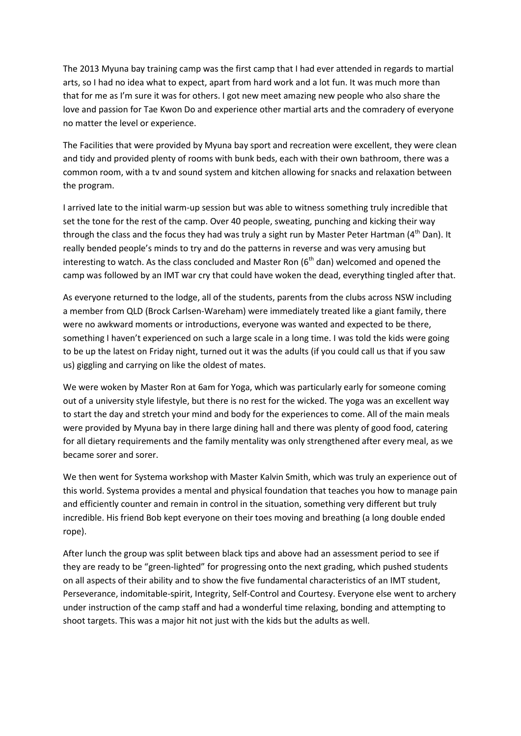The 2013 Myuna bay training camp was the first camp that I had ever attended in regards to martial arts, so I had no idea what to expect, apart from hard work and a lot fun. It was much more than that for me as I'm sure it was for others. I got new meet amazing new people who also share the love and passion for Tae Kwon Do and experience other martial arts and the comradery of everyone no matter the level or experience.

The Facilities that were provided by Myuna bay sport and recreation were excellent, they were clean and tidy and provided plenty of rooms with bunk beds, each with their own bathroom, there was a common room, with a tv and sound system and kitchen allowing for snacks and relaxation between the program.

I arrived late to the initial warm-up session but was able to witness something truly incredible that set the tone for the rest of the camp. Over 40 people, sweating, punching and kicking their way through the class and the focus they had was truly a sight run by Master Peter Hartman (4<sup>th</sup> Dan). It really bended people's minds to try and do the patterns in reverse and was very amusing but interesting to watch. As the class concluded and Master Ron  $(6<sup>th</sup>$  dan) welcomed and opened the camp was followed by an IMT war cry that could have woken the dead, everything tingled after that.

As everyone returned to the lodge, all of the students, parents from the clubs across NSW including a member from QLD (Brock Carlsen-Wareham) were immediately treated like a giant family, there were no awkward moments or introductions, everyone was wanted and expected to be there, something I haven't experienced on such a large scale in a long time. I was told the kids were going to be up the latest on Friday night, turned out it was the adults (if you could call us that if you saw us) giggling and carrying on like the oldest of mates.

We were woken by Master Ron at 6am for Yoga, which was particularly early for someone coming out of a university style lifestyle, but there is no rest for the wicked. The yoga was an excellent way to start the day and stretch your mind and body for the experiences to come. All of the main meals were provided by Myuna bay in there large dining hall and there was plenty of good food, catering for all dietary requirements and the family mentality was only strengthened after every meal, as we became sorer and sorer.

We then went for Systema workshop with Master Kalvin Smith, which was truly an experience out of this world. Systema provides a mental and physical foundation that teaches you how to manage pain and efficiently counter and remain in control in the situation, something very different but truly incredible. His friend Bob kept everyone on their toes moving and breathing (a long double ended rope).

After lunch the group was split between black tips and above had an assessment period to see if they are ready to be "green-lighted" for progressing onto the next grading, which pushed students on all aspects of their ability and to show the five fundamental characteristics of an IMT student, Perseverance, indomitable-spirit, Integrity, Self-Control and Courtesy. Everyone else went to archery under instruction of the camp staff and had a wonderful time relaxing, bonding and attempting to shoot targets. This was a major hit not just with the kids but the adults as well.